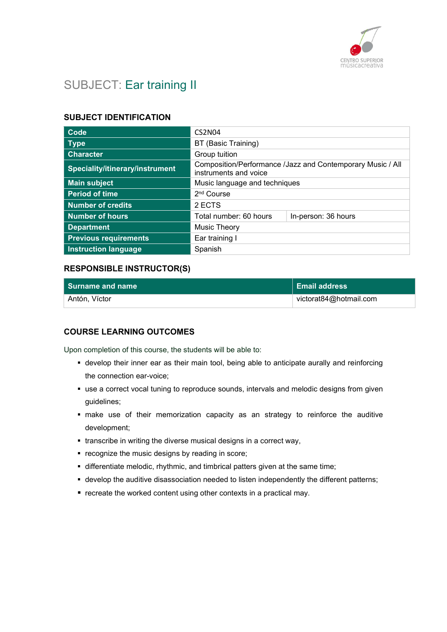

# SUBJECT: Ear training II

### SUBJECT IDENTIFICATION

| Code                                   | <b>CS2N04</b>                                                                       |                     |
|----------------------------------------|-------------------------------------------------------------------------------------|---------------------|
| <b>Type</b>                            | BT (Basic Training)                                                                 |                     |
| <b>Character</b>                       | Group tuition                                                                       |                     |
| <b>Speciality/itinerary/instrument</b> | Composition/Performance /Jazz and Contemporary Music / All<br>instruments and voice |                     |
| <b>Main subject</b>                    | Music language and techniques                                                       |                     |
| <b>Period of time</b>                  | 2 <sup>nd</sup> Course                                                              |                     |
| <b>Number of credits</b>               | 2 ECTS                                                                              |                     |
| <b>Number of hours</b>                 | Total number: 60 hours                                                              | In-person: 36 hours |
| <b>Department</b>                      | Music Theory                                                                        |                     |
| <b>Previous requirements</b>           | Ear training I                                                                      |                     |
| <b>Instruction language</b>            | Spanish                                                                             |                     |

### RESPONSIBLE INSTRUCTOR(S)

| <b>Surname and name</b> | <b>/ Email address</b> |
|-------------------------|------------------------|
| Antón, Víctor           | victorat84@hotmail.com |

### COURSE LEARNING OUTCOMES

Upon completion of this course, the students will be able to:

- develop their inner ear as their main tool, being able to anticipate aurally and reinforcing the connection ear-voice;
- use a correct vocal tuning to reproduce sounds, intervals and melodic designs from given guidelines;
- make use of their memorization capacity as an strategy to reinforce the auditive development;
- transcribe in writing the diverse musical designs in a correct way,
- **•** recognize the music designs by reading in score;
- differentiate melodic, rhythmic, and timbrical patters given at the same time;
- develop the auditive disassociation needed to listen independently the different patterns;
- $\blacksquare$  recreate the worked content using other contexts in a practical may.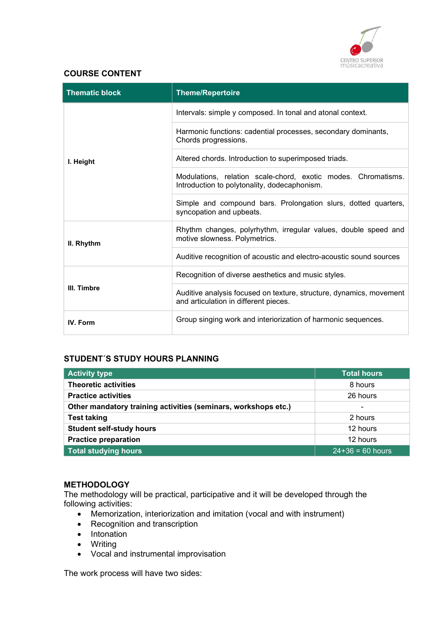

# COURSE CONTENT

| <b>Thematic block</b> | <b>Theme/Repertoire</b>                                                                                       |  |
|-----------------------|---------------------------------------------------------------------------------------------------------------|--|
| I. Height             | Intervals: simple y composed. In tonal and atonal context.                                                    |  |
|                       | Harmonic functions: cadential processes, secondary dominants,<br>Chords progressions.                         |  |
|                       | Altered chords. Introduction to superimposed triads.                                                          |  |
|                       | Modulations, relation scale-chord, exotic modes. Chromatisms.<br>Introduction to polytonality, dodecaphonism. |  |
|                       | Simple and compound bars. Prolongation slurs, dotted quarters,<br>syncopation and upbeats.                    |  |
| II. Rhythm            | Rhythm changes, polyrhythm, irregular values, double speed and<br>motive slowness. Polymetrics.               |  |
|                       | Auditive recognition of acoustic and electro-acoustic sound sources                                           |  |
| III. Timbre           | Recognition of diverse aesthetics and music styles.                                                           |  |
|                       | Auditive analysis focused on texture, structure, dynamics, movement<br>and articulation in different pieces.  |  |
| IV. Form              | Group singing work and interiorization of harmonic sequences.                                                 |  |

# STUDENT´S STUDY HOURS PLANNING

| <b>Activity type</b>                                           | <b>Total hours</b>       |
|----------------------------------------------------------------|--------------------------|
| <b>Theoretic activities</b>                                    | 8 hours                  |
| <b>Practice activities</b>                                     | 26 hours                 |
| Other mandatory training activities (seminars, workshops etc.) | $\overline{\phantom{a}}$ |
| <b>Test taking</b>                                             | 2 hours                  |
| <b>Student self-study hours</b>                                | 12 hours                 |
| <b>Practice preparation</b>                                    | 12 hours                 |
| <b>Total studying hours</b>                                    | $24 + 36 = 60$ hours     |

### **METHODOLOGY**

The methodology will be practical, participative and it will be developed through the following activities:

- Memorization, interiorization and imitation (vocal and with instrument)
- Recognition and transcription
- Intonation
- Writing
- Vocal and instrumental improvisation

The work process will have two sides: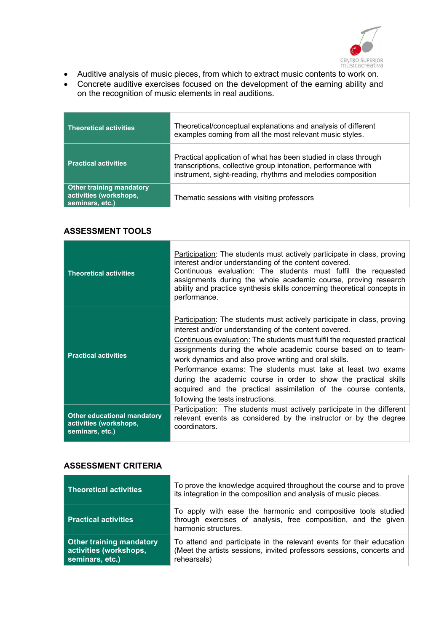

- Auditive analysis of music pieces, from which to extract music contents to work on.
- Concrete auditive exercises focused on the development of the earning ability and on the recognition of music elements in real auditions.

| <b>Theoretical activities</b>                                                | Theoretical/conceptual explanations and analysis of different<br>examples coming from all the most relevant music styles.                                                                       |
|------------------------------------------------------------------------------|-------------------------------------------------------------------------------------------------------------------------------------------------------------------------------------------------|
| <b>Practical activities</b>                                                  | Practical application of what has been studied in class through<br>transcriptions, collective group intonation, performance with<br>instrument, sight-reading, rhythms and melodies composition |
| <b>Other training mandatory</b><br>activities (workshops,<br>seminars, etc.) | Thematic sessions with visiting professors                                                                                                                                                      |

## ASSESSMENT TOOLS

| <b>Theoretical activities</b>                                                   | Participation: The students must actively participate in class, proving<br>interest and/or understanding of the content covered.<br>Continuous evaluation: The students must fulfil the requested<br>assignments during the whole academic course, proving research<br>ability and practice synthesis skills concerning theoretical concepts in<br>performance.                                                                                                                                                                                                                    |
|---------------------------------------------------------------------------------|------------------------------------------------------------------------------------------------------------------------------------------------------------------------------------------------------------------------------------------------------------------------------------------------------------------------------------------------------------------------------------------------------------------------------------------------------------------------------------------------------------------------------------------------------------------------------------|
| <b>Practical activities</b>                                                     | Participation: The students must actively participate in class, proving<br>interest and/or understanding of the content covered.<br>Continuous evaluation: The students must fulfil the requested practical<br>assignments during the whole academic course based on to team-<br>work dynamics and also prove writing and oral skills.<br>Performance exams: The students must take at least two exams<br>during the academic course in order to show the practical skills<br>acquired and the practical assimilation of the course contents,<br>following the tests instructions. |
| <b>Other educational mandatory</b><br>activities (workshops,<br>seminars, etc.) | Participation: The students must actively participate in the different<br>relevant events as considered by the instructor or by the degree<br>coordinators.                                                                                                                                                                                                                                                                                                                                                                                                                        |

# ASSESSMENT CRITERIA

| <b>Theoretical activities</b>                                                | To prove the knowledge acquired throughout the course and to prove<br>its integration in the composition and analysis of music pieces.                       |
|------------------------------------------------------------------------------|--------------------------------------------------------------------------------------------------------------------------------------------------------------|
| <b>Practical activities</b>                                                  | To apply with ease the harmonic and compositive tools studied<br>through exercises of analysis, free composition, and the given<br>harmonic structures.      |
| <b>Other training mandatory</b><br>activities (workshops,<br>seminars, etc.) | To attend and participate in the relevant events for their education<br>(Meet the artists sessions, invited professors sessions, concerts and<br>rehearsals) |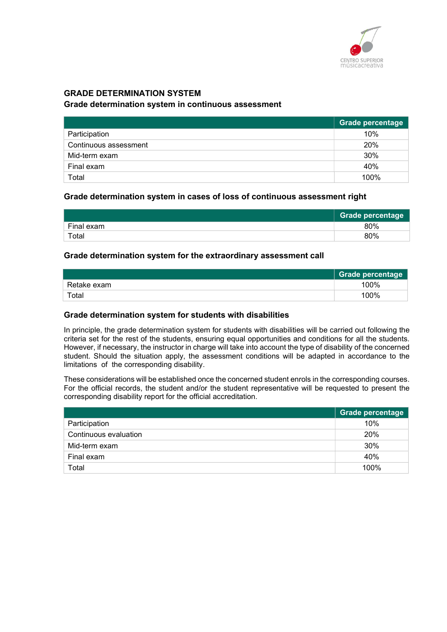

# GRADE DETERMINATION SYSTEM

#### Grade determination system in continuous assessment

|                       | Grade percentage |
|-----------------------|------------------|
| Participation         | 10%              |
| Continuous assessment | 20%              |
| Mid-term exam         | 30%              |
| Final exam            | 40%              |
| Total                 | 100%             |

#### Grade determination system in cases of loss of continuous assessment right

|            | <b>Grade percentage</b> |
|------------|-------------------------|
| Final exam | 80%                     |
| Total      | 80%                     |

#### Grade determination system for the extraordinary assessment call

|             | <b>Grade percentage</b> |
|-------------|-------------------------|
| Retake exam | 100%                    |
| Total       | 100%                    |

#### Grade determination system for students with disabilities

In principle, the grade determination system for students with disabilities will be carried out following the criteria set for the rest of the students, ensuring equal opportunities and conditions for all the students. However, if necessary, the instructor in charge will take into account the type of disability of the concerned student. Should the situation apply, the assessment conditions will be adapted in accordance to the limitations of the corresponding disability.

These considerations will be established once the concerned student enrols in the corresponding courses. For the official records, the student and/or the student representative will be requested to present the corresponding disability report for the official accreditation.

|                       | <b>Grade percentage</b> |
|-----------------------|-------------------------|
| Participation         | 10%                     |
| Continuous evaluation | 20%                     |
| Mid-term exam         | 30%                     |
| Final exam            | 40%                     |
| Total                 | 100%                    |